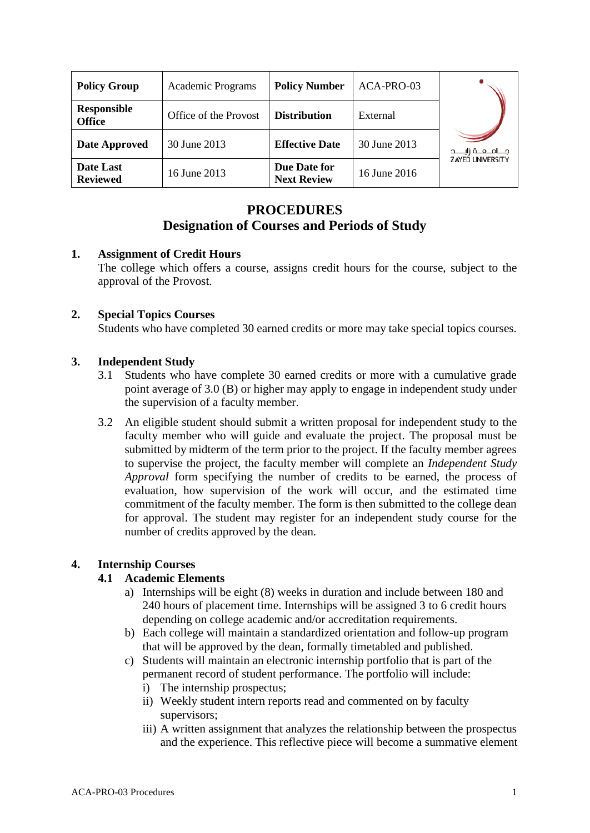| <b>Policy Group</b>                 | <b>Academic Programs</b> | <b>Policy Number</b>               | ACA-PRO-03   |                          |
|-------------------------------------|--------------------------|------------------------------------|--------------|--------------------------|
| <b>Responsible</b><br><b>Office</b> | Office of the Provost    | <b>Distribution</b>                | External     |                          |
| Date Approved                       | 30 June 2013             | <b>Effective Date</b>              | 30 June 2013 | مـــامـــعـــة زايـــــد |
| Date Last<br><b>Reviewed</b>        | 16 June 2013             | Due Date for<br><b>Next Review</b> | 16 June 2016 | <b>ZAYED UNIVERSITY</b>  |

# **PROCEDURES**

# **Designation of Courses and Periods of Study**

### **1. Assignment of Credit Hours**

The college which offers a course, assigns credit hours for the course, subject to the approval of the Provost.

### **2. Special Topics Courses**

Students who have completed 30 earned credits or more may take special topics courses.

## **3. Independent Study**

- 3.1 Students who have complete 30 earned credits or more with a cumulative grade point average of 3.0 (B) or higher may apply to engage in independent study under the supervision of a faculty member.
- 3.2 An eligible student should submit a written proposal for independent study to the faculty member who will guide and evaluate the project. The proposal must be submitted by midterm of the term prior to the project. If the faculty member agrees to supervise the project, the faculty member will complete an *Independent Study Approval* form specifying the number of credits to be earned, the process of evaluation, how supervision of the work will occur, and the estimated time commitment of the faculty member. The form is then submitted to the college dean for approval. The student may register for an independent study course for the number of credits approved by the dean.

### **4. Internship Courses**

### **4.1 Academic Elements**

- a) Internships will be eight (8) weeks in duration and include between 180 and 240 hours of placement time. Internships will be assigned 3 to 6 credit hours depending on college academic and/or accreditation requirements.
- b) Each college will maintain a standardized orientation and follow-up program that will be approved by the dean, formally timetabled and published.
- c) Students will maintain an electronic internship portfolio that is part of the permanent record of student performance. The portfolio will include:
	- i) The internship prospectus;
	- ii) Weekly student intern reports read and commented on by faculty supervisors;
	- iii) A written assignment that analyzes the relationship between the prospectus and the experience. This reflective piece will become a summative element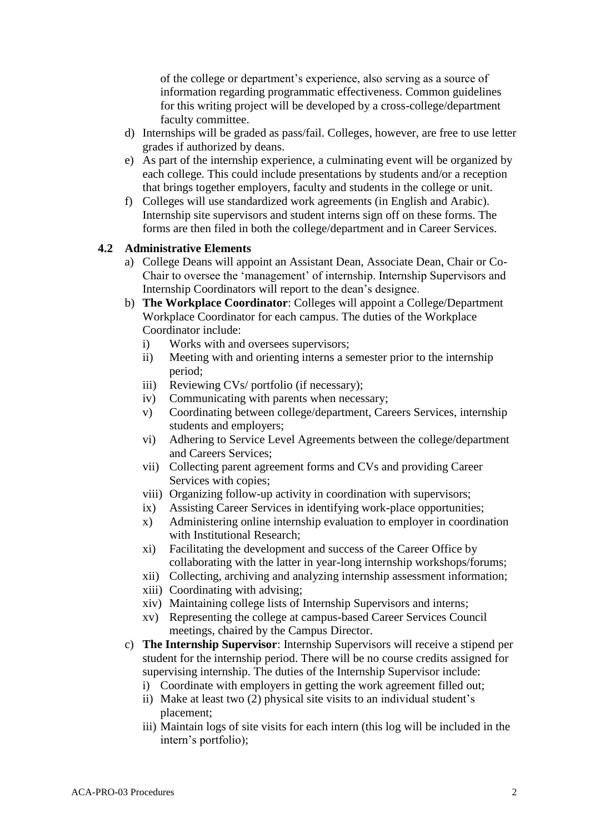of the college or department's experience, also serving as a source of information regarding programmatic effectiveness. Common guidelines for this writing project will be developed by a cross-college/department faculty committee.

- d) Internships will be graded as pass/fail. Colleges, however, are free to use letter grades if authorized by deans.
- e) As part of the internship experience, a culminating event will be organized by each college. This could include presentations by students and/or a reception that brings together employers, faculty and students in the college or unit.
- f) Colleges will use standardized work agreements (in English and Arabic). Internship site supervisors and student interns sign off on these forms. The forms are then filed in both the college/department and in Career Services.

#### **4.2 Administrative Elements**

- a) College Deans will appoint an Assistant Dean, Associate Dean, Chair or Co-Chair to oversee the 'management' of internship. Internship Supervisors and Internship Coordinators will report to the dean's designee.
- b) **The Workplace Coordinator**: Colleges will appoint a College/Department Workplace Coordinator for each campus. The duties of the Workplace Coordinator include:
	- i) Works with and oversees supervisors;
	- ii) Meeting with and orienting interns a semester prior to the internship period;
	- iii) Reviewing CVs/ portfolio (if necessary);
	- iv) Communicating with parents when necessary;
	- v) Coordinating between college/department, Careers Services, internship students and employers;
	- vi) Adhering to Service Level Agreements between the college/department and Careers Services;
	- vii) Collecting parent agreement forms and CVs and providing Career Services with copies;
	- viii) Organizing follow-up activity in coordination with supervisors;
	- ix) Assisting Career Services in identifying work-place opportunities;
	- x) Administering online internship evaluation to employer in coordination with Institutional Research;
	- xi) Facilitating the development and success of the Career Office by collaborating with the latter in year-long internship workshops/forums;
	- xii) Collecting, archiving and analyzing internship assessment information;
	- xiii) Coordinating with advising;
	- xiv) Maintaining college lists of Internship Supervisors and interns;
	- xv) Representing the college at campus-based Career Services Council meetings, chaired by the Campus Director.
- c) **The Internship Supervisor**: Internship Supervisors will receive a stipend per student for the internship period. There will be no course credits assigned for supervising internship. The duties of the Internship Supervisor include:
	- i) Coordinate with employers in getting the work agreement filled out;
	- ii) Make at least two (2) physical site visits to an individual student's placement;
	- iii) Maintain logs of site visits for each intern (this log will be included in the intern's portfolio);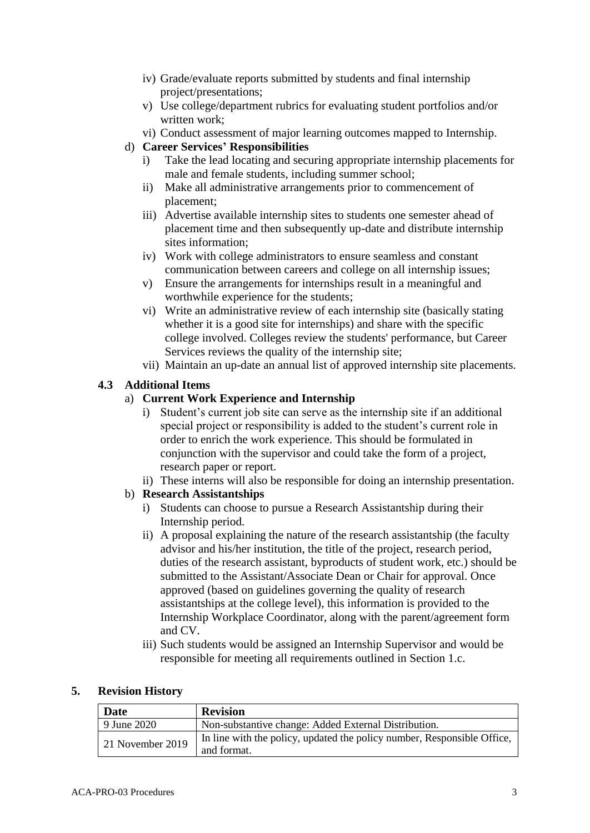- iv) Grade/evaluate reports submitted by students and final internship project/presentations;
- v) Use college/department rubrics for evaluating student portfolios and/or written work;
- vi) Conduct assessment of major learning outcomes mapped to Internship.
- d) **Career Services' Responsibilities**
	- i) Take the lead locating and securing appropriate internship placements for male and female students, including summer school;
	- ii) Make all administrative arrangements prior to commencement of placement;
	- iii) Advertise available internship sites to students one semester ahead of placement time and then subsequently up-date and distribute internship sites information;
	- iv) Work with college administrators to ensure seamless and constant communication between careers and college on all internship issues;
	- v) Ensure the arrangements for internships result in a meaningful and worthwhile experience for the students;
	- vi) Write an administrative review of each internship site (basically stating whether it is a good site for internships) and share with the specific college involved. Colleges review the students' performance, but Career Services reviews the quality of the internship site;
	- vii) Maintain an up-date an annual list of approved internship site placements.

## **4.3 Additional Items**

### a) **Current Work Experience and Internship**

- i) Student's current job site can serve as the internship site if an additional special project or responsibility is added to the student's current role in order to enrich the work experience. This should be formulated in conjunction with the supervisor and could take the form of a project, research paper or report.
- ii) These interns will also be responsible for doing an internship presentation.
- b) **Research Assistantships**
	- i) Students can choose to pursue a Research Assistantship during their Internship period.
	- ii) A proposal explaining the nature of the research assistantship (the faculty advisor and his/her institution, the title of the project, research period, duties of the research assistant, byproducts of student work, etc.) should be submitted to the Assistant/Associate Dean or Chair for approval. Once approved (based on guidelines governing the quality of research assistantships at the college level), this information is provided to the Internship Workplace Coordinator, along with the parent/agreement form and CV.
	- iii) Such students would be assigned an Internship Supervisor and would be responsible for meeting all requirements outlined in Section 1.c.

#### **5. Revision History**

| <b>Date</b>      | <b>Revision</b>                                                                        |  |
|------------------|----------------------------------------------------------------------------------------|--|
| 9 June 2020      | Non-substantive change: Added External Distribution.                                   |  |
| 21 November 2019 | In line with the policy, updated the policy number, Responsible Office,<br>and format. |  |